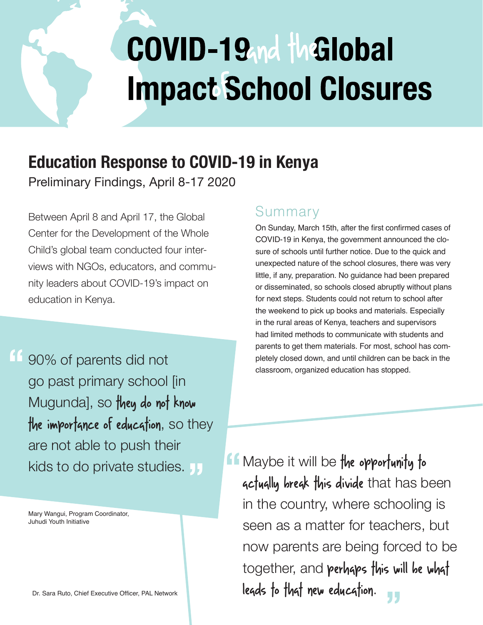# COVID-19<sub>nd</sub> the lobal **Impact School Closures**

# **Education Response to COVID-19 in Kenya**

Preliminary Findings, April 8-17 2020

Between April 8 and April 17, the Global Center for the Development of the Whole Child's global team conducted four interviews with NGOs, educators, and community leaders about COVID-19's impact on education in Kenya.

90% of parents did not go past primary school [in Mugundal, so they do not know the importance of education, so they are not able to push their kids to do private studies. **" "**

Mary Wangui, Program Coordinator, Juhudi Youth Initiative

### Summary

On Sunday, March 15th, after the first confirmed cases of COVID-19 in Kenya, the government announced the closure of schools until further notice. Due to the quick and unexpected nature of the school closures, there was very little, if any, preparation. No guidance had been prepared or disseminated, so schools closed abruptly without plans for next steps. Students could not return to school after the weekend to pick up books and materials. Especially in the rural areas of Kenya, teachers and supervisors had limited methods to communicate with students and parents to get them materials. For most, school has completely closed down, and until children can be back in the classroom, organized education has stopped.

**f** Maybe it will be the opportunity to<br>**"** actually break this divide that has be actually break this divide that has been in the country, where schooling is seen as a matter for teachers, but now parents are being forced to be together, and perhaps this will be what leads to that new education. **"**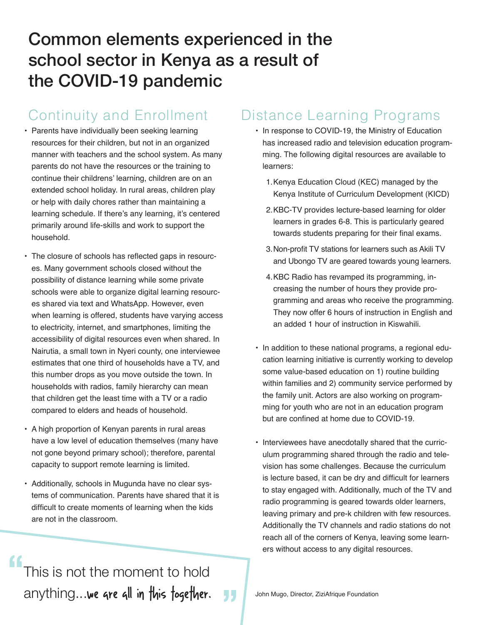# Common elements experienced in the school sector in Kenya as a result of the COVID-19 pandemic

### Continuity and Enrollment

- Parents have individually been seeking learning resources for their children, but not in an organized manner with teachers and the school system. As many parents do not have the resources or the training to continue their childrens' learning, children are on an extended school holiday. In rural areas, children play or help with daily chores rather than maintaining a learning schedule. If there's any learning, it's centered primarily around life-skills and work to support the household.
- The closure of schools has reflected gaps in resources. Many government schools closed without the possibility of distance learning while some private schools were able to organize digital learning resources shared via text and WhatsApp. However, even when learning is offered, students have varying access to electricity, internet, and smartphones, limiting the accessibility of digital resources even when shared. In Nairutia, a small town in Nyeri county, one interviewee estimates that one third of households have a TV, and this number drops as you move outside the town. In households with radios, family hierarchy can mean that children get the least time with a TV or a radio compared to elders and heads of household.
- A high proportion of Kenyan parents in rural areas have a low level of education themselves (many have not gone beyond primary school); therefore, parental capacity to support remote learning is limited.
- Additionally, schools in Mugunda have no clear systems of communication. Parents have shared that it is difficult to create moments of learning when the kids are not in the classroom.

# Distance Learning Programs

- In response to COVID-19, the Ministry of Education has increased radio and television education programming. The following digital resources are available to learners:
	- 1.Kenya Education Cloud (KEC) managed by the Kenya Institute of Curriculum Development (KICD)
	- 2.KBC-TV provides lecture-based learning for older learners in grades 6-8. This is particularly geared towards students preparing for their final exams.
	- 3.Non-profit TV stations for learners such as Akili TV and Ubongo TV are geared towards young learners.
	- 4.KBC Radio has revamped its programming, increasing the number of hours they provide programming and areas who receive the programming. They now offer 6 hours of instruction in English and an added 1 hour of instruction in Kiswahili.
- In addition to these national programs, a regional education learning initiative is currently working to develop some value-based education on 1) routine building within families and 2) community service performed by the family unit. Actors are also working on programming for youth who are not in an education program but are confined at home due to COVID-19.
- Interviewees have anecdotally shared that the curriculum programming shared through the radio and television has some challenges. Because the curriculum is lecture based, it can be dry and difficult for learners to stay engaged with. Additionally, much of the TV and radio programming is geared towards older learners, leaving primary and pre-k children with few resources. Additionally the TV channels and radio stations do not reach all of the corners of Kenya, leaving some learners without access to any digital resources.

This is not the moment to hold anything...we are all in this fogether. **"**

**"**